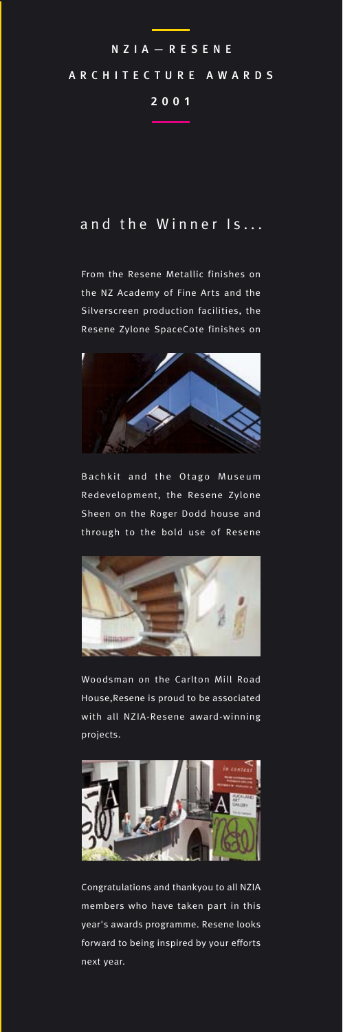# NZIA—RE SENE ARCHITECTURE AWARDS **2001**

## and the Winner Is...

From the Resene Metallic finishes on the NZ Academy of Fine Arts and the Silverscreen production facilities, the Resene Zylone SpaceCote finishes on



Bachkit and the Otago Museum Redevelopment, the Resene Zylone Sheen on the Roger Dodd house and through to the bold use of Resene



Woodsman on the Carlton Mill Road House,Resene is proud to be associated with all NZIA-Resene award-winning projects.



Congratulations and thankyou to all NZIA members who have taken part in this year's awards programme. Resene looks forward to being inspired by your efforts next year.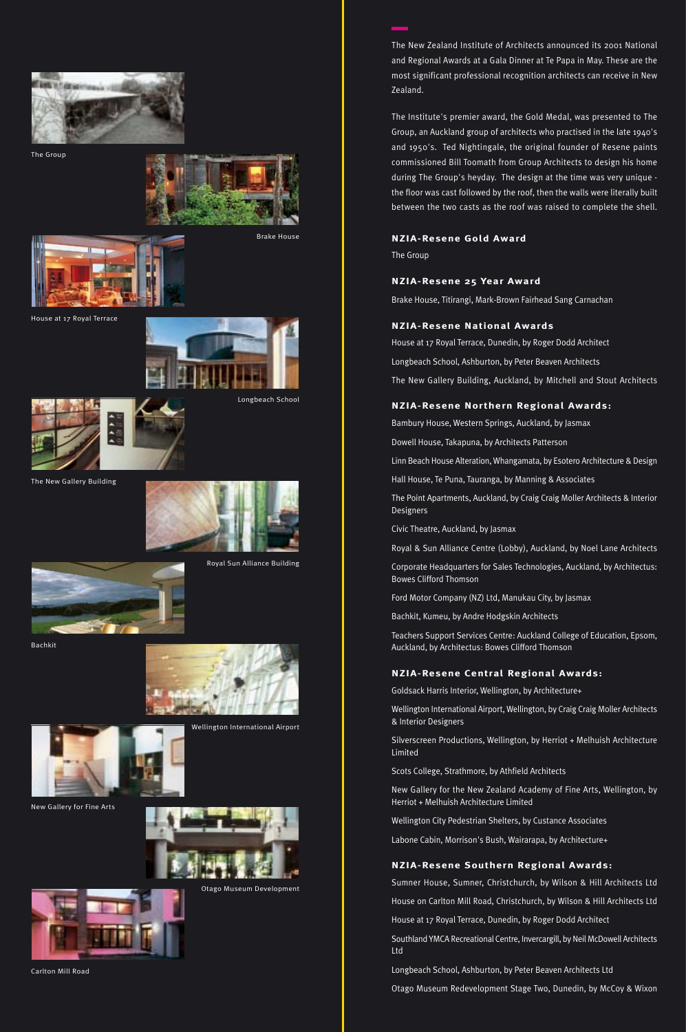

The Group



Brake House

House at 17 Royal Terrace



Longbeach School



The New Gallery Building



Royal Sun Alliance Building



Bachkit







New Gallery for Fine Arts



Otago Museum Development



Carlton Mill Road

The New Zealand Institute of Architects announced its 2001 National and Regional Awards at a Gala Dinner at Te Papa in May. These are the most significant professional recognition architects can receive in New Zealand.

The Institute's premier award, the Gold Medal, was presented to The Group, an Auckland group of architects who practised in the late 1940's and 1950's. Ted Nightingale, the original founder of Resene paints commissioned Bill Toomath from Group Architects to design his home during The Group's heyday. The design at the time was very unique the floor was cast followed by the roof, then the walls were literally built between the two casts as the roof was raised to complete the shell.

### **NZIA-Resene Gold Award**

The Group

#### **NZIA-Resene 25 Year Award**

Brake House, Titirangi, Mark-Brown Fairhead Sang Carnachan

#### **NZIA-Resene National Awards**

House at 17 Royal Terrace, Dunedin, by Roger Dodd Architect Longbeach School, Ashburton, by Peter Beaven Architects The New Gallery Building, Auckland, by Mitchell and Stout Architects

#### **NZIA-Resene Northern Regional Awards:**

Bambury House, Western Springs, Auckland, by Jasmax

Dowell House, Takapuna, by Architects Patterson

Linn Beach House Alteration, Whangamata, by Esotero Architecture & Design

Hall House, Te Puna, Tauranga, by Manning & Associates

The Point Apartments, Auckland, by Craig Craig Moller Architects & Interior Designers

Civic Theatre, Auckland, by Jasmax

Royal & Sun Alliance Centre (Lobby), Auckland, by Noel Lane Architects

Corporate Headquarters for Sales Technologies, Auckland, by Architectus: Bowes Clifford Thomson

Ford Motor Company (NZ) Ltd, Manukau City, by Jasmax

Bachkit, Kumeu, by Andre Hodgskin Architects

Teachers Support Services Centre: Auckland College of Education, Epsom, Auckland, by Architectus: Bowes Clifford Thomson

#### **NZIA-Resene Central Regional Awards:**

Goldsack Harris Interior, Wellington, by Architecture+

Wellington International Airport, Wellington, by Craig Craig Moller Architects & Interior Designers

Silverscreen Productions, Wellington, by Herriot + Melhuish Architecture Limited

Scots College, Strathmore, by Athfield Architects

New Gallery for the New Zealand Academy of Fine Arts, Wellington, by Herriot + Melhuish Architecture Limited

Wellington City Pedestrian Shelters, by Custance Associates

Labone Cabin, Morrison's Bush, Wairarapa, by Architecture+

#### **NZIA-Resene Southern Regional Awards:**

Sumner House, Sumner, Christchurch, by Wilson & Hill Architects Ltd

House on Carlton Mill Road, Christchurch, by Wilson & Hill Architects Ltd

House at 17 Royal Terrace, Dunedin, by Roger Dodd Architect

Southland YMCA Recreational Centre, Invercargill, by Neil McDowell Architects Ltd

Longbeach School, Ashburton, by Peter Beaven Architects Ltd

Otago Museum Redevelopment Stage Two, Dunedin, by McCoy & Wixon